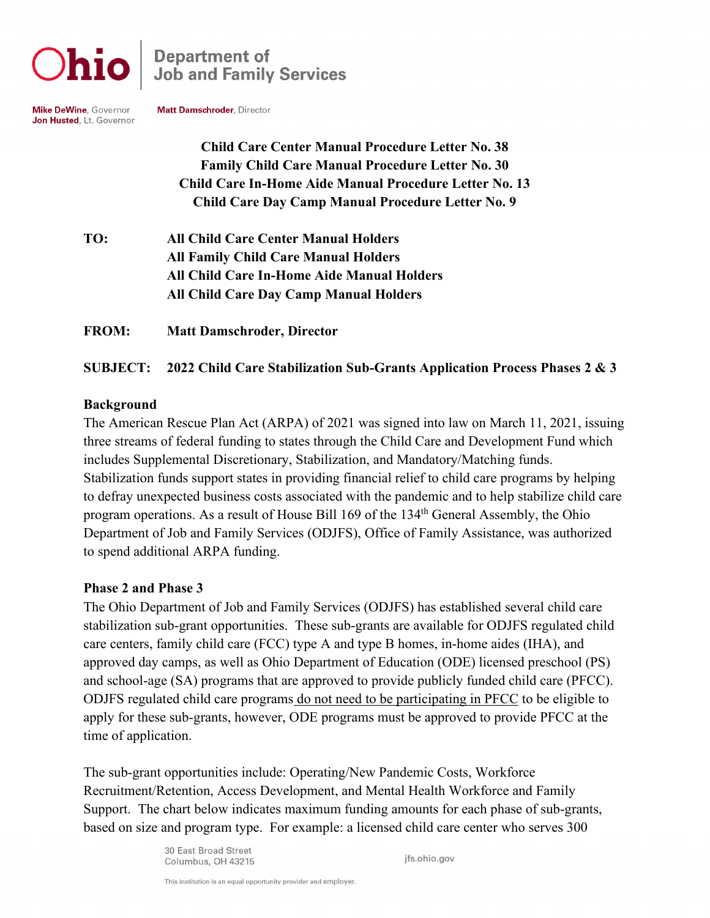

**Department of<br>Job and Family Services** 

**Mike DeWine, Governor** Jon Husted, Lt. Governor Matt Damschroder, Director

**Child Care Center Manual Procedure Letter No. 38 Family Child Care Manual Procedure Letter No. 30 Child Care In-Home Aide Manual Procedure Letter No. 13 Child Care Day Camp Manual Procedure Letter No. 9**

**TO: All Child Care Center Manual Holders All Family Child Care Manual Holders All Child Care In-Home Aide Manual Holders All Child Care Day Camp Manual Holders**

**FROM: Matt Damschroder, Director**

## **SUBJECT: 2022 Child Care Stabilization Sub-Grants Application Process Phases 2 & 3**

### **Background**

The American Rescue Plan Act (ARPA) of 2021 was signed into law on March 11, 2021, issuing three streams of federal funding to states through the Child Care and Development Fund which includes Supplemental Discretionary, Stabilization, and Mandatory/Matching funds. Stabilization funds support states in providing financial relief to child care programs by helping to defray unexpected business costs associated with the pandemic and to help stabilize child care program operations. As a result of House Bill 169 of the 134<sup>th</sup> General Assembly, the Ohio Department of Job and Family Services (ODJFS), Office of Family Assistance, was authorized to spend additional ARPA funding.

### **Phase 2 and Phase 3**

The Ohio Department of Job and Family Services (ODJFS) has established several child care stabilization sub-grant opportunities. These sub-grants are available for ODJFS regulated child care centers, family child care (FCC) type A and type B homes, in-home aides (IHA), and approved day camps, as well as Ohio Department of Education (ODE) licensed preschool (PS) and school-age (SA) programs that are approved to provide publicly funded child care (PFCC). ODJFS regulated child care programs do not need to be participating in PFCC to be eligible to apply for these sub-grants, however, ODE programs must be approved to provide PFCC at the time of application.

The sub-grant opportunities include: Operating/New Pandemic Costs, Workforce Recruitment/Retention, Access Development, and Mental Health Workforce and Family Support. The chart below indicates maximum funding amounts for each phase of sub-grants, based on size and program type. For example: a licensed child care center who serves 300

> 30 East Broad Street Columbus, OH 43215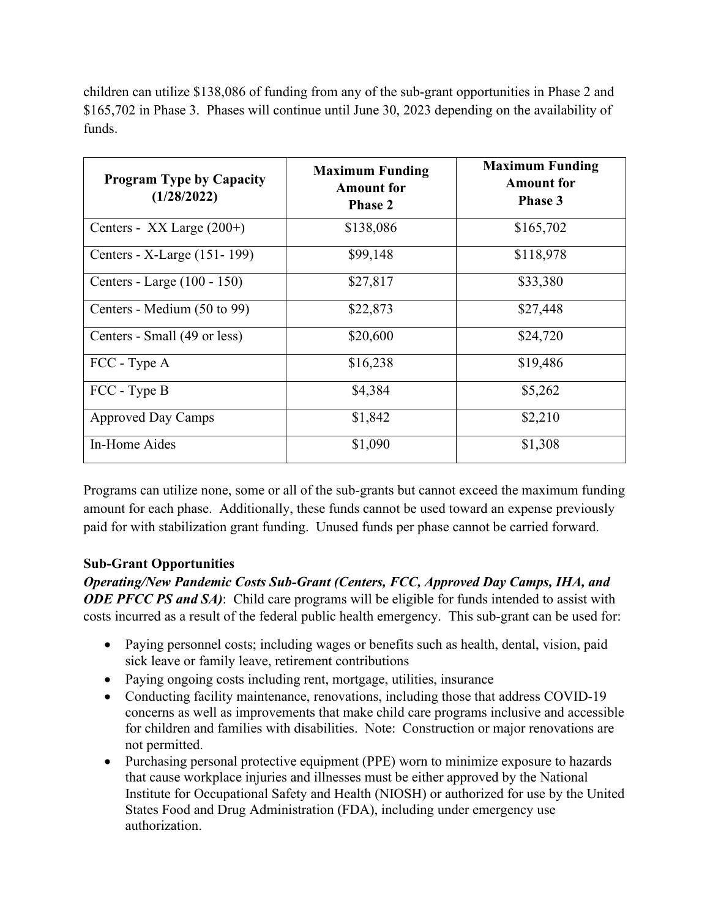children can utilize \$138,086 of funding from any of the sub-grant opportunities in Phase 2 and \$165,702 in Phase 3. Phases will continue until June 30, 2023 depending on the availability of funds.

| <b>Program Type by Capacity</b><br>(1/28/2022) | <b>Maximum Funding</b><br><b>Amount for</b><br><b>Phase 2</b> | <b>Maximum Funding</b><br><b>Amount</b> for<br><b>Phase 3</b> |
|------------------------------------------------|---------------------------------------------------------------|---------------------------------------------------------------|
| Centers - XX Large $(200+)$                    | \$138,086                                                     | \$165,702                                                     |
| Centers - X-Large (151-199)                    | \$99,148                                                      | \$118,978                                                     |
| Centers - Large (100 - 150)                    | \$27,817                                                      | \$33,380                                                      |
| Centers - Medium (50 to 99)                    | \$22,873                                                      | \$27,448                                                      |
| Centers - Small (49 or less)                   | \$20,600                                                      | \$24,720                                                      |
| FCC - Type A                                   | \$16,238                                                      | \$19,486                                                      |
| FCC - Type B                                   | \$4,384                                                       | \$5,262                                                       |
| <b>Approved Day Camps</b>                      | \$1,842                                                       | \$2,210                                                       |
| In-Home Aides                                  | \$1,090                                                       | \$1,308                                                       |

Programs can utilize none, some or all of the sub-grants but cannot exceed the maximum funding amount for each phase. Additionally, these funds cannot be used toward an expense previously paid for with stabilization grant funding. Unused funds per phase cannot be carried forward.

### **Sub-Grant Opportunities**

*Operating/New Pandemic Costs Sub-Grant (Centers, FCC, Approved Day Camps, IHA, and ODE PFCC PS and SA*): Child care programs will be eligible for funds intended to assist with costs incurred as a result of the federal public health emergency. This sub-grant can be used for:

- Paying personnel costs; including wages or benefits such as health, dental, vision, paid sick leave or family leave, retirement contributions
- Paying ongoing costs including rent, mortgage, utilities, insurance
- Conducting facility maintenance, renovations, including those that address COVID-19 concerns as well as improvements that make child care programs inclusive and accessible for children and families with disabilities. Note: Construction or major renovations are not permitted.
- Purchasing personal protective equipment (PPE) worn to minimize exposure to hazards that cause workplace injuries and illnesses must be either approved by the National Institute for Occupational Safety and Health (NIOSH) or authorized for use by the United States Food and Drug Administration (FDA), including under emergency use authorization.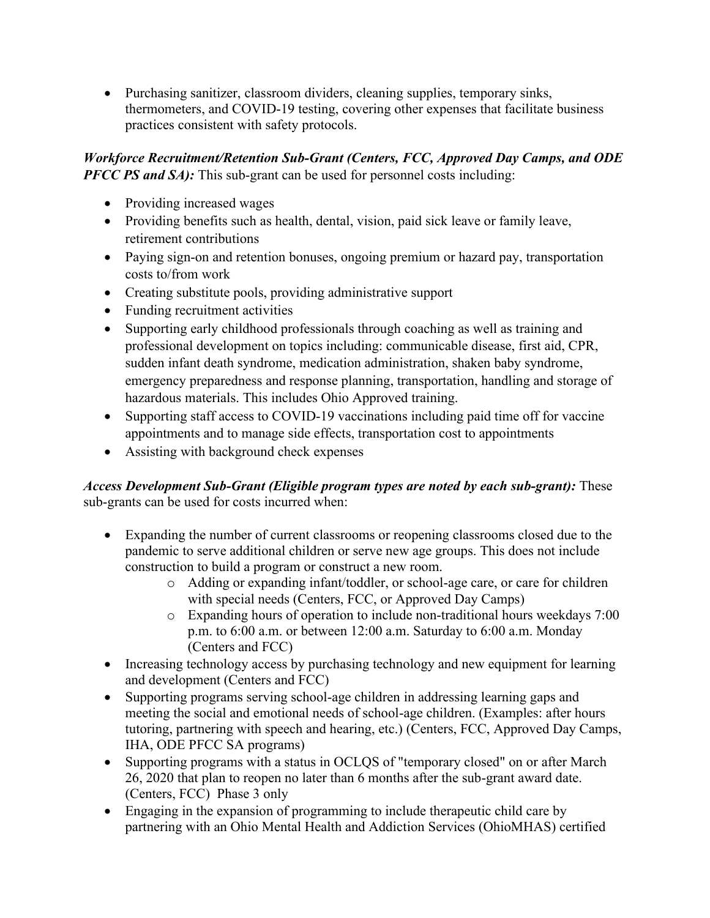• Purchasing sanitizer, classroom dividers, cleaning supplies, temporary sinks, thermometers, and COVID-19 testing, covering other expenses that facilitate business practices consistent with safety protocols.

*Workforce Recruitment/Retention Sub-Grant (Centers, FCC, Approved Day Camps, and ODE PFCC PS and SA)*: This sub-grant can be used for personnel costs including:

- Providing increased wages
- Providing benefits such as health, dental, vision, paid sick leave or family leave, retirement contributions
- Paying sign-on and retention bonuses, ongoing premium or hazard pay, transportation costs to/from work
- Creating substitute pools, providing administrative support
- Funding recruitment activities
- Supporting early childhood professionals through coaching as well as training and professional development on topics including: communicable disease, first aid, CPR, sudden infant death syndrome, medication administration, shaken baby syndrome, emergency preparedness and response planning, transportation, handling and storage of hazardous materials. This includes Ohio Approved training.
- Supporting staff access to COVID-19 vaccinations including paid time off for vaccine appointments and to manage side effects, transportation cost to appointments
- Assisting with background check expenses

*Access Development Sub-Grant (Eligible program types are noted by each sub-grant):* These sub-grants can be used for costs incurred when:

- Expanding the number of current classrooms or reopening classrooms closed due to the pandemic to serve additional children or serve new age groups. This does not include construction to build a program or construct a new room.
	- o Adding or expanding infant/toddler, or school-age care, or care for children with special needs (Centers, FCC, or Approved Day Camps)
	- o Expanding hours of operation to include non-traditional hours weekdays 7:00 p.m. to 6:00 a.m. or between 12:00 a.m. Saturday to 6:00 a.m. Monday (Centers and FCC)
- Increasing technology access by purchasing technology and new equipment for learning and development (Centers and FCC)
- Supporting programs serving school-age children in addressing learning gaps and meeting the social and emotional needs of school-age children. (Examples: after hours tutoring, partnering with speech and hearing, etc.) (Centers, FCC, Approved Day Camps, IHA, ODE PFCC SA programs)
- Supporting programs with a status in OCLQS of "temporary closed" on or after March 26, 2020 that plan to reopen no later than 6 months after the sub-grant award date. (Centers, FCC) Phase 3 only
- Engaging in the expansion of programming to include therapeutic child care by partnering with an Ohio Mental Health and Addiction Services (OhioMHAS) certified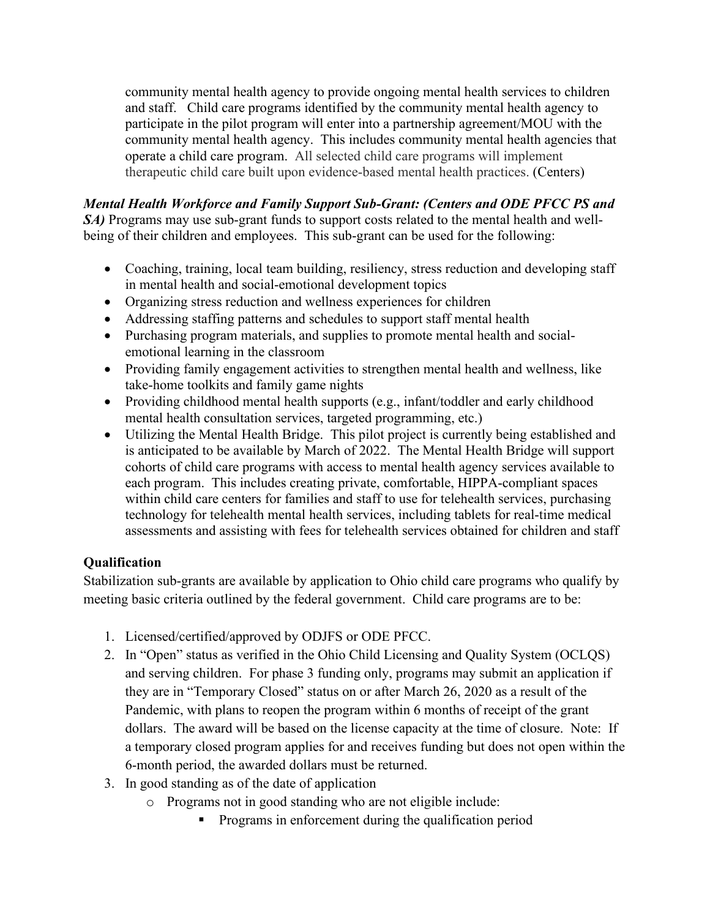community mental health agency to provide ongoing mental health services to children and staff. Child care programs identified by the community mental health agency to participate in the pilot program will enter into a partnership agreement/MOU with the community mental health agency. This includes community mental health agencies that operate a child care program. All selected child care programs will implement therapeutic child care built upon evidence-based mental health practices. (Centers)

*Mental Health Workforce and Family Support Sub-Grant: (Centers and ODE PFCC PS and SA*) Programs may use sub-grant funds to support costs related to the mental health and wellbeing of their children and employees. This sub-grant can be used for the following:

- Coaching, training, local team building, resiliency, stress reduction and developing staff in mental health and social-emotional development topics
- Organizing stress reduction and wellness experiences for children
- Addressing staffing patterns and schedules to support staff mental health
- Purchasing program materials, and supplies to promote mental health and socialemotional learning in the classroom
- Providing family engagement activities to strengthen mental health and wellness, like take-home toolkits and family game nights
- Providing childhood mental health supports (e.g., infant/toddler and early childhood mental health consultation services, targeted programming, etc.)
- Utilizing the Mental Health Bridge. This pilot project is currently being established and is anticipated to be available by March of 2022. The Mental Health Bridge will support cohorts of child care programs with access to mental health agency services available to each program. This includes creating private, comfortable, HIPPA-compliant spaces within child care centers for families and staff to use for telehealth services, purchasing technology for telehealth mental health services, including tablets for real-time medical assessments and assisting with fees for telehealth services obtained for children and staff

# **Qualification**

Stabilization sub-grants are available by application to Ohio child care programs who qualify by meeting basic criteria outlined by the federal government. Child care programs are to be:

- 1. Licensed/certified/approved by ODJFS or ODE PFCC.
- 2. In "Open" status as verified in the Ohio Child Licensing and Quality System (OCLQS) and serving children. For phase 3 funding only, programs may submit an application if they are in "Temporary Closed" status on or after March 26, 2020 as a result of the Pandemic, with plans to reopen the program within 6 months of receipt of the grant dollars. The award will be based on the license capacity at the time of closure. Note: If a temporary closed program applies for and receives funding but does not open within the 6-month period, the awarded dollars must be returned.
- 3. In good standing as of the date of application
	- o Programs not in good standing who are not eligible include:
		- **Programs in enforcement during the qualification period**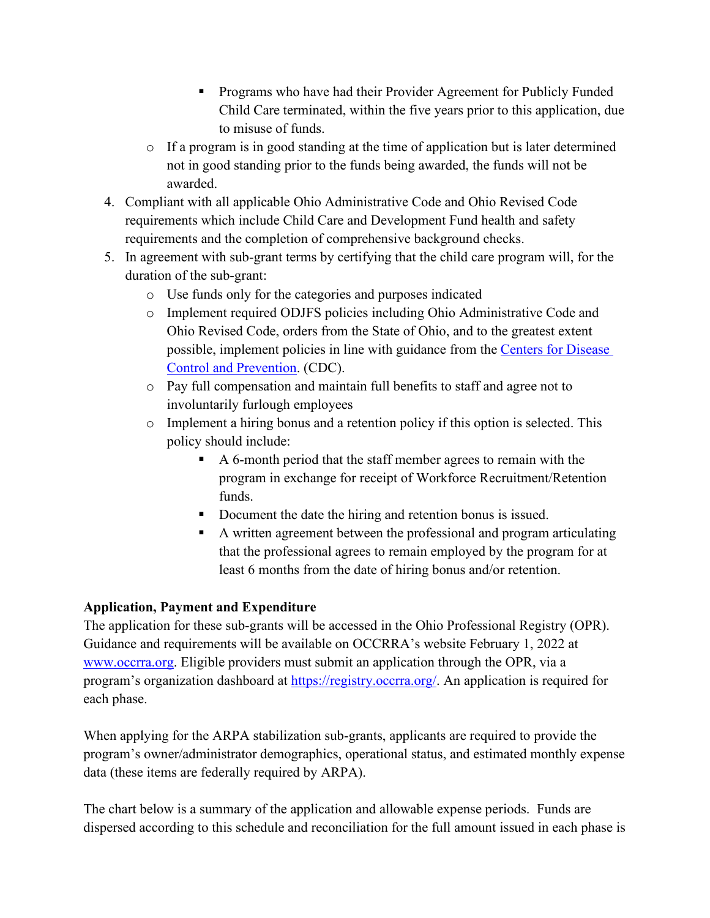- **Programs who have had their Provider Agreement for Publicly Funded** Child Care terminated, within the five years prior to this application, due to misuse of funds.
- o If a program is in good standing at the time of application but is later determined not in good standing prior to the funds being awarded, the funds will not be awarded.
- 4. Compliant with all applicable Ohio Administrative Code and Ohio Revised Code requirements which include Child Care and Development Fund health and safety requirements and the completion of comprehensive background checks.
- 5. In agreement with sub-grant terms by certifying that the child care program will, for the duration of the sub-grant:
	- o Use funds only for the categories and purposes indicated
	- o Implement required ODJFS policies including Ohio Administrative Code and Ohio Revised Code, orders from the State of Ohio, and to the greatest extent possible, implement policies in line with guidance from the Centers for Disease [Control and Prevention.](https://www.cdc.gov/coronavirus/2019-ncov/community/schools-childcare/guidance-for-childcare.html) (CDC).
	- o Pay full compensation and maintain full benefits to staff and agree not to involuntarily furlough employees
	- o Implement a hiring bonus and a retention policy if this option is selected. This policy should include:
		- A 6-month period that the staff member agrees to remain with the program in exchange for receipt of Workforce Recruitment/Retention funds.
		- Document the date the hiring and retention bonus is issued.
		- A written agreement between the professional and program articulating that the professional agrees to remain employed by the program for at least 6 months from the date of hiring bonus and/or retention.

# **Application, Payment and Expenditure**

The application for these sub-grants will be accessed in the Ohio Professional Registry (OPR). Guidance and requirements will be available on OCCRRA's website February 1, 2022 at [www.occrra.org.](http://www.occrra.org/) Eligible providers must submit an application through the OPR, via a program's organization dashboard at [https://registry.occrra.org/.](https://nam02.safelinks.protection.outlook.com/?url=https%3A%2F%2Fregistry.occrra.org%2F&data=02%7C01%7CTBarnhouse%40occrra.org%7Ce260abacda7244c4e1a108d7fe4b9dd1%7Cefea53f0b47f446f89dbcbc87cca74ea%7C0%7C0%7C637257473033412372&sdata=14%2FeaLauz6vUKllqUQMm8DDhGHK%2BmQAYROcLdUcnGiM%3D&reserved=0) An application is required for each phase.

When applying for the ARPA stabilization sub-grants, applicants are required to provide the program's owner/administrator demographics, operational status, and estimated monthly expense data (these items are federally required by ARPA).

The chart below is a summary of the application and allowable expense periods. Funds are dispersed according to this schedule and reconciliation for the full amount issued in each phase is